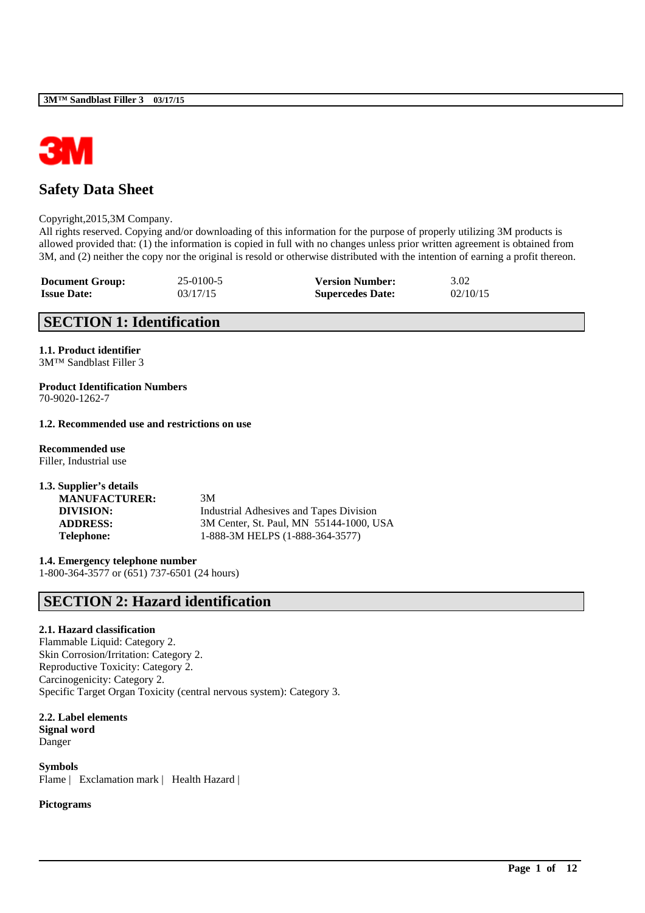

# **Safety Data Sheet**

#### Copyright,2015,3M Company.

All rights reserved. Copying and/or downloading of this information for the purpose of properly utilizing 3M products is allowed provided that: (1) the information is copied in full with no changes unless prior written agreement is obtained from 3M, and (2) neither the copy nor the original is resold or otherwise distributed with the intention of earning a profit thereon.

\_\_\_\_\_\_\_\_\_\_\_\_\_\_\_\_\_\_\_\_\_\_\_\_\_\_\_\_\_\_\_\_\_\_\_\_\_\_\_\_\_\_\_\_\_\_\_\_\_\_\_\_\_\_\_\_\_\_\_\_\_\_\_\_\_\_\_\_\_\_\_\_\_\_\_\_\_\_\_\_\_\_\_\_\_\_\_\_\_\_

| <b>Document Group:</b> | 25-0100-5 | <b>Version Number:</b>  | 3.02     |
|------------------------|-----------|-------------------------|----------|
| <b>Issue Date:</b>     | 03/17/15  | <b>Supercedes Date:</b> | 02/10/15 |

# **SECTION 1: Identification**

**1.1. Product identifier** 3M™ Sandblast Filler 3

**Product Identification Numbers** 70-9020-1262-7

#### **1.2. Recommended use and restrictions on use**

**Recommended use** Filler, Industrial use

| 1.3. Supplier's details |                                         |
|-------------------------|-----------------------------------------|
| <b>MANUFACTURER:</b>    | 3M                                      |
| DIVISION:               | Industrial Adhesives and Tapes Division |
| <b>ADDRESS:</b>         | 3M Center, St. Paul, MN 55144-1000, USA |
| <b>Telephone:</b>       | 1-888-3M HELPS (1-888-364-3577)         |
|                         |                                         |

**1.4. Emergency telephone number** 1-800-364-3577 or (651) 737-6501 (24 hours)

# **SECTION 2: Hazard identification**

### **2.1. Hazard classification**

Flammable Liquid: Category 2. Skin Corrosion/Irritation: Category 2. Reproductive Toxicity: Category 2. Carcinogenicity: Category 2. Specific Target Organ Toxicity (central nervous system): Category 3.

**2.2. Label elements Signal word** Danger

**Symbols** Flame | Exclamation mark | Health Hazard |

**Pictograms**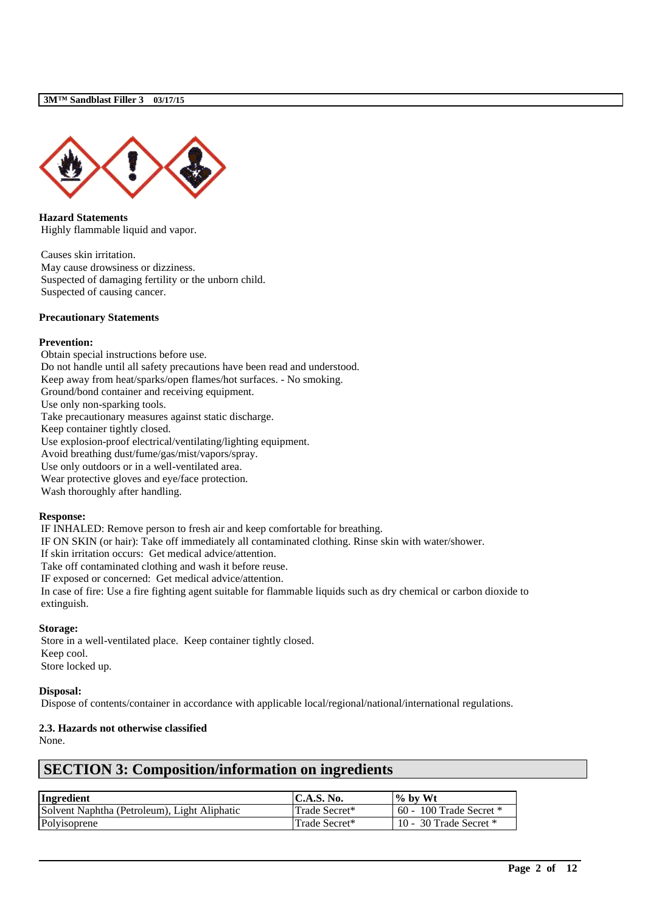

**Hazard Statements** Highly flammable liquid and vapor.

Causes skin irritation. May cause drowsiness or dizziness. Suspected of damaging fertility or the unborn child. Suspected of causing cancer.

#### **Precautionary Statements**

#### **Prevention:**

Obtain special instructions before use. Do not handle until all safety precautions have been read and understood. Keep away from heat/sparks/open flames/hot surfaces. - No smoking. Ground/bond container and receiving equipment. Use only non-sparking tools. Take precautionary measures against static discharge. Keep container tightly closed. Use explosion-proof electrical/ventilating/lighting equipment. Avoid breathing dust/fume/gas/mist/vapors/spray. Use only outdoors or in a well-ventilated area. Wear protective gloves and eye/face protection. Wash thoroughly after handling.

### **Response:**

IF INHALED: Remove person to fresh air and keep comfortable for breathing. IF ON SKIN (or hair): Take off immediately all contaminated clothing. Rinse skin with water/shower. If skin irritation occurs: Get medical advice/attention. Take off contaminated clothing and wash it before reuse. IF exposed or concerned: Get medical advice/attention.

In case of fire: Use a fire fighting agent suitable for flammable liquids such as dry chemical or carbon dioxide to extinguish.

#### **Storage:**

Store in a well-ventilated place. Keep container tightly closed. Keep cool. Store locked up.

#### **Disposal:**

Dispose of contents/container in accordance with applicable local/regional/national/international regulations.

# **2.3. Hazards not otherwise classified**

None.

# **SECTION 3: Composition/information on ingredients**

| Ingredient                                   | <b>C.A.S. No.</b> | $\%$ by Wt                  |
|----------------------------------------------|-------------------|-----------------------------|
| Solvent Naphtha (Petroleum), Light Aliphatic | Trade Secret*     | $60 - 100$ Trade Secret $*$ |
| Polyisoprene                                 | Trade Secret*     | 10 - 30 Trade Secret $*$    |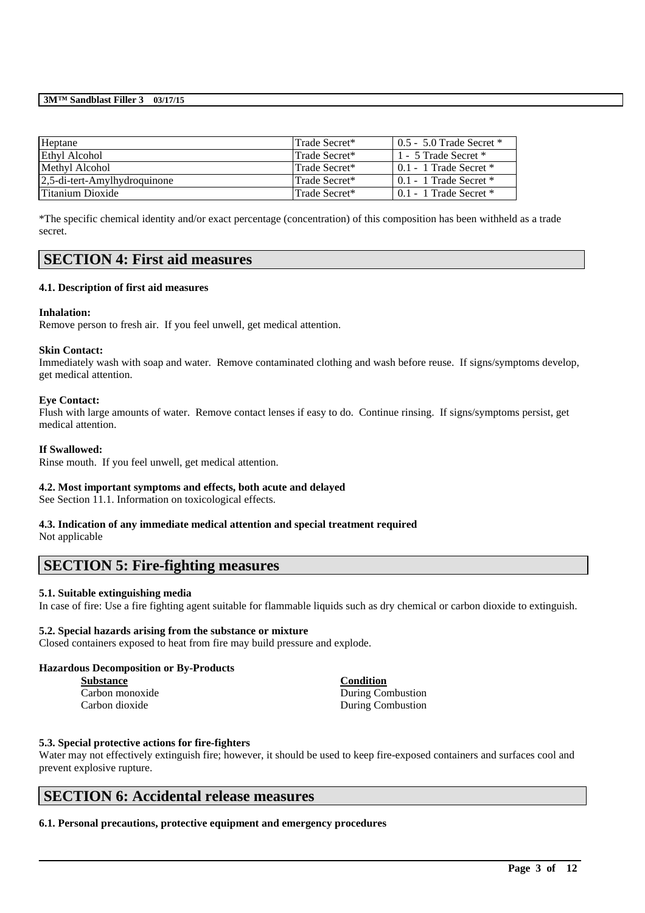| Heptane                          | Trade Secret*  | $10.5 - 5.0$ Trade Secret $*$  |
|----------------------------------|----------------|--------------------------------|
| Ethyl Alcohol                    | Trade Secret*  | 1 - 5 Trade Secret *           |
| Methyl Alcohol                   | Trade Secret*  | $\pm 0.1$ - 1 Trade Secret $*$ |
| $ 2,5$ -di-tert-Amylhydroquinone | Trade Secret*  | $\pm 0.1$ - 1 Trade Secret $*$ |
| Titanium Dioxide                 | ∣Trade Secret* | 0.1 - 1 Trade Secret *         |

\*The specific chemical identity and/or exact percentage (concentration) of this composition has been withheld as a trade secret.

# **SECTION 4: First aid measures**

### **4.1. Description of first aid measures**

#### **Inhalation:**

Remove person to fresh air. If you feel unwell, get medical attention.

#### **Skin Contact:**

Immediately wash with soap and water. Remove contaminated clothing and wash before reuse. If signs/symptoms develop, get medical attention.

#### **Eye Contact:**

Flush with large amounts of water. Remove contact lenses if easy to do. Continue rinsing. If signs/symptoms persist, get medical attention.

#### **If Swallowed:**

Rinse mouth. If you feel unwell, get medical attention.

### **4.2. Most important symptoms and effects, both acute and delayed**

See Section 11.1. Information on toxicological effects.

# **4.3. Indication of any immediate medical attention and special treatment required**

Not applicable

# **SECTION 5: Fire-fighting measures**

### **5.1. Suitable extinguishing media**

In case of fire: Use a fire fighting agent suitable for flammable liquids such as dry chemical or carbon dioxide to extinguish.

#### **5.2. Special hazards arising from the substance or mixture**

Closed containers exposed to heat from fire may build pressure and explode.

#### **Hazardous Decomposition or By-Products**

| <b>Substance</b> | <b>Condition</b>  |
|------------------|-------------------|
| Carbon monoxide  | During Combustion |
| Carbon dioxide   | During Combustion |

#### **5.3. Special protective actions for fire-fighters**

Water may not effectively extinguish fire; however, it should be used to keep fire-exposed containers and surfaces cool and prevent explosive rupture.

\_\_\_\_\_\_\_\_\_\_\_\_\_\_\_\_\_\_\_\_\_\_\_\_\_\_\_\_\_\_\_\_\_\_\_\_\_\_\_\_\_\_\_\_\_\_\_\_\_\_\_\_\_\_\_\_\_\_\_\_\_\_\_\_\_\_\_\_\_\_\_\_\_\_\_\_\_\_\_\_\_\_\_\_\_\_\_\_\_\_

# **SECTION 6: Accidental release measures**

### **6.1. Personal precautions, protective equipment and emergency procedures**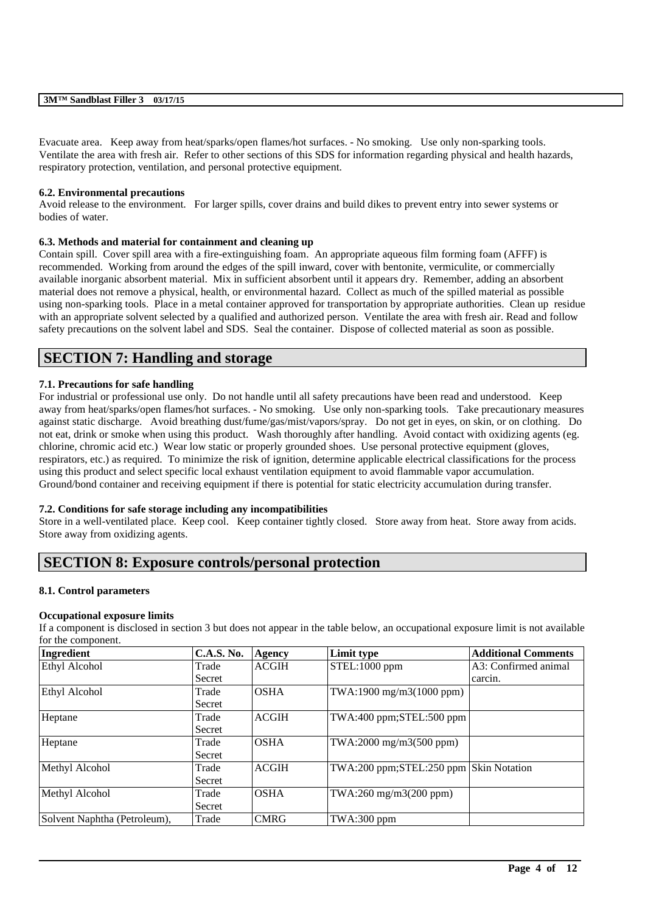Evacuate area. Keep away from heat/sparks/open flames/hot surfaces. - No smoking. Use only non-sparking tools. Ventilate the area with fresh air. Refer to other sections of this SDS for information regarding physical and health hazards, respiratory protection, ventilation, and personal protective equipment.

### **6.2. Environmental precautions**

Avoid release to the environment. For larger spills, cover drains and build dikes to prevent entry into sewer systems or bodies of water.

### **6.3. Methods and material for containment and cleaning up**

Contain spill. Cover spill area with a fire-extinguishing foam. An appropriate aqueous film forming foam (AFFF) is recommended. Working from around the edges of the spill inward, cover with bentonite, vermiculite, or commercially available inorganic absorbent material. Mix in sufficient absorbent until it appears dry. Remember, adding an absorbent material does not remove a physical, health, or environmental hazard. Collect as much of the spilled material as possible using non-sparking tools. Place in a metal container approved for transportation by appropriate authorities. Clean up residue with an appropriate solvent selected by a qualified and authorized person. Ventilate the area with fresh air. Read and follow safety precautions on the solvent label and SDS. Seal the container. Dispose of collected material as soon as possible.

# **SECTION 7: Handling and storage**

### **7.1. Precautions for safe handling**

For industrial or professional use only. Do not handle until all safety precautions have been read and understood. Keep away from heat/sparks/open flames/hot surfaces. - No smoking. Use only non-sparking tools. Take precautionary measures against static discharge. Avoid breathing dust/fume/gas/mist/vapors/spray. Do not get in eyes, on skin, or on clothing. Do not eat, drink or smoke when using this product. Wash thoroughly after handling. Avoid contact with oxidizing agents (eg. chlorine, chromic acid etc.) Wear low static or properly grounded shoes. Use personal protective equipment (gloves, respirators, etc.) as required. To minimize the risk of ignition, determine applicable electrical classifications for the process using this product and select specific local exhaust ventilation equipment to avoid flammable vapor accumulation. Ground/bond container and receiving equipment if there is potential for static electricity accumulation during transfer.

### **7.2. Conditions for safe storage including any incompatibilities**

Store in a well-ventilated place. Keep cool. Keep container tightly closed. Store away from heat. Store away from acids. Store away from oxidizing agents.

# **SECTION 8: Exposure controls/personal protection**

#### **8.1. Control parameters**

#### **Occupational exposure limits**

If a component is disclosed in section 3 but does not appear in the table below, an occupational exposure limit is not available for the component.

| Ingredient                   | <b>C.A.S. No.</b> | Agency       | Limit type                             | <b>Additional Comments</b> |
|------------------------------|-------------------|--------------|----------------------------------------|----------------------------|
| Ethyl Alcohol                | Trade             | <b>ACGIH</b> | STEL:1000 ppm                          | A3: Confirmed animal       |
|                              | Secret            |              |                                        | carcin.                    |
| Ethyl Alcohol                | Trade             | <b>OSHA</b>  | TWA:1900 mg/m3(1000 ppm)               |                            |
|                              | Secret            |              |                                        |                            |
| Heptane                      | Trade             | <b>ACGIH</b> | TWA:400 ppm;STEL:500 ppm               |                            |
|                              | Secret            |              |                                        |                            |
| Heptane                      | Trade             | <b>OSHA</b>  | TWA:2000 mg/m3(500 ppm)                |                            |
|                              | Secret            |              |                                        |                            |
| Methyl Alcohol               | Trade             | <b>ACGIH</b> | TWA:200 ppm;STEL:250 ppm Skin Notation |                            |
|                              | Secret            |              |                                        |                            |
| Methyl Alcohol               | Trade             | <b>OSHA</b>  | TWA:260 mg/m3(200 ppm)                 |                            |
|                              | Secret            |              |                                        |                            |
| Solvent Naphtha (Petroleum), | Trade             | <b>CMRG</b>  | $TWA:300$ ppm                          |                            |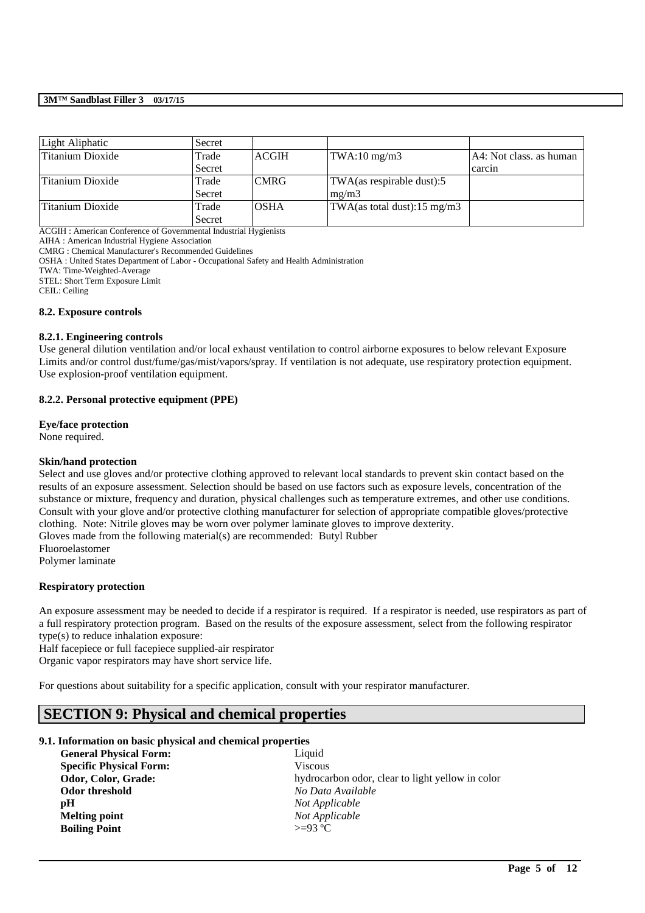| Light Aliphatic  | Secret |              |                                         |                         |
|------------------|--------|--------------|-----------------------------------------|-------------------------|
| Titanium Dioxide | Trade  | <b>ACGIH</b> | $TWA:10$ mg/m $3$                       | A4: Not class, as human |
|                  | Secret |              |                                         | carcin                  |
| Titanium Dioxide | Trade  | <b>CMRG</b>  | TWA(as respirable dust):5               |                         |
|                  | Secret |              | mg/m3                                   |                         |
| Titanium Dioxide | Trade  | <b>OSHA</b>  | TWA(as total dust): $15 \text{ mg/m}$ 3 |                         |
|                  | Secret |              |                                         |                         |

ACGIH : American Conference of Governmental Industrial Hygienists

AIHA : American Industrial Hygiene Association

CMRG : Chemical Manufacturer's Recommended Guidelines

OSHA : United States Department of Labor - Occupational Safety and Health Administration

TWA: Time-Weighted-Average

STEL: Short Term Exposure Limit

CEIL: Ceiling

#### **8.2. Exposure controls**

#### **8.2.1. Engineering controls**

Use general dilution ventilation and/or local exhaust ventilation to control airborne exposures to below relevant Exposure Limits and/or control dust/fume/gas/mist/vapors/spray. If ventilation is not adequate, use respiratory protection equipment. Use explosion-proof ventilation equipment.

#### **8.2.2. Personal protective equipment (PPE)**

#### **Eye/face protection**

None required.

#### **Skin/hand protection**

Select and use gloves and/or protective clothing approved to relevant local standards to prevent skin contact based on the results of an exposure assessment. Selection should be based on use factors such as exposure levels, concentration of the substance or mixture, frequency and duration, physical challenges such as temperature extremes, and other use conditions. Consult with your glove and/or protective clothing manufacturer for selection of appropriate compatible gloves/protective clothing. Note: Nitrile gloves may be worn over polymer laminate gloves to improve dexterity. Gloves made from the following material(s) are recommended: Butyl Rubber Fluoroelastomer

Polymer laminate

#### **Respiratory protection**

An exposure assessment may be needed to decide if a respirator is required. If a respirator is needed, use respirators as part of a full respiratory protection program. Based on the results of the exposure assessment, select from the following respirator type(s) to reduce inhalation exposure:

\_\_\_\_\_\_\_\_\_\_\_\_\_\_\_\_\_\_\_\_\_\_\_\_\_\_\_\_\_\_\_\_\_\_\_\_\_\_\_\_\_\_\_\_\_\_\_\_\_\_\_\_\_\_\_\_\_\_\_\_\_\_\_\_\_\_\_\_\_\_\_\_\_\_\_\_\_\_\_\_\_\_\_\_\_\_\_\_\_\_

Half facepiece or full facepiece supplied-air respirator

Organic vapor respirators may have short service life.

For questions about suitability for a specific application, consult with your respirator manufacturer.

# **SECTION 9: Physical and chemical properties**

### **9.1. Information on basic physical and chemical properties**

| <b>General Physical Form:</b>  | Liquid                                           |
|--------------------------------|--------------------------------------------------|
| <b>Specific Physical Form:</b> | <b>Viscous</b>                                   |
| Odor, Color, Grade:            | hydrocarbon odor, clear to light yellow in color |
| Odor threshold                 | No Data Available                                |
| pH                             | Not Applicable                                   |
| <b>Melting point</b>           | Not Applicable                                   |
| <b>Boiling Point</b>           | $>=93 °C$                                        |
|                                |                                                  |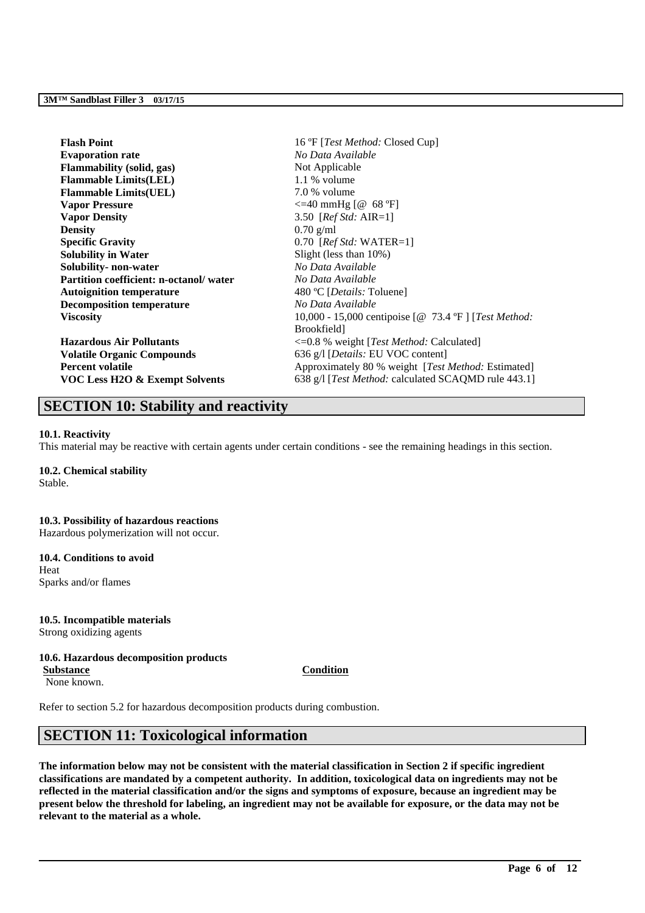| <b>Flash Point</b>                            | 16 °F [ <i>Test Method</i> : Closed Cup]                    |  |
|-----------------------------------------------|-------------------------------------------------------------|--|
| <b>Evaporation rate</b>                       | No Data Available                                           |  |
| <b>Flammability</b> (solid, gas)              | Not Applicable                                              |  |
| <b>Flammable Limits(LEL)</b>                  | $1.1\%$ volume                                              |  |
| <b>Flammable Limits(UEL)</b>                  | 7.0 % volume                                                |  |
| <b>Vapor Pressure</b>                         | $\leq$ =40 mmHg [@ 68 °F]                                   |  |
| <b>Vapor Density</b>                          | 3.50 [ $RefStd: AIR=1$ ]                                    |  |
| <b>Density</b>                                | $0.70$ g/ml                                                 |  |
| <b>Specific Gravity</b>                       | $0.70$ [ <i>Ref Std:</i> WATER=1]                           |  |
| <b>Solubility in Water</b>                    | Slight (less than 10%)                                      |  |
| Solubility- non-water                         | No Data Available                                           |  |
| <b>Partition coefficient: n-octanol/water</b> | No Data Available                                           |  |
| <b>Autoignition temperature</b>               | 480 °C [ <i>Details</i> : Toluene]                          |  |
| <b>Decomposition temperature</b>              | No Data Available                                           |  |
| <b>Viscosity</b>                              | 10,000 - 15,000 centipoise $[@ 73.4 °F]$ [Test Method:      |  |
|                                               | <b>Brookfield</b>                                           |  |
| <b>Hazardous Air Pollutants</b>               | $\leq 0.8$ % weight [ <i>Test Method:</i> Calculated]       |  |
| <b>Volatile Organic Compounds</b>             | 636 g/l [ <i>Details:</i> EU VOC content]                   |  |
| <b>Percent volatile</b>                       | Approximately 80 % weight [ <i>Test Method</i> : Estimated] |  |
| VOC Less H2O & Exempt Solvents                | 638 g/l [ <i>Test Method:</i> calculated SCAQMD rule 443.1] |  |

# **SECTION 10: Stability and reactivity**

#### **10.1. Reactivity**

This material may be reactive with certain agents under certain conditions - see the remaining headings in this section.

#### **10.2. Chemical stability** Stable.

# **10.3. Possibility of hazardous reactions**

Hazardous polymerization will not occur.

## **10.4. Conditions to avoid** Heat

Sparks and/or flames

# **10.5. Incompatible materials**

Strong oxidizing agents

### **10.6. Hazardous decomposition products**

**Substance Condition**

None known.

Refer to section 5.2 for hazardous decomposition products during combustion.

# **SECTION 11: Toxicological information**

**The information below may not be consistent with the material classification in Section 2 if specific ingredient classifications are mandated by a competent authority. In addition, toxicological data on ingredients may not be reflected in the material classification and/or the signs and symptoms of exposure, because an ingredient may be present below the threshold for labeling, an ingredient may not be available for exposure, or the data may not be relevant to the material as a whole.**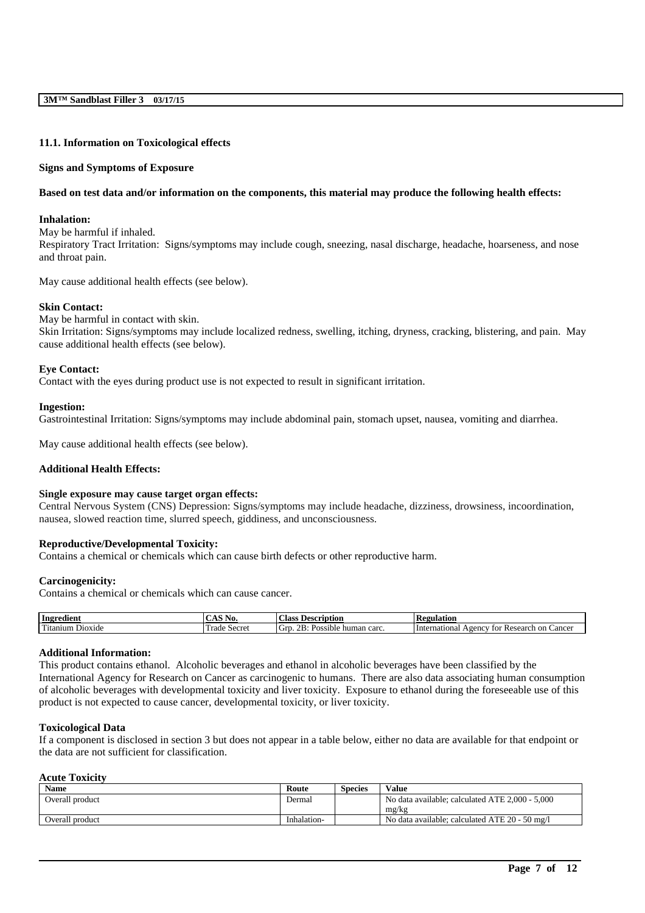#### **11.1. Information on Toxicological effects**

#### **Signs and Symptoms of Exposure**

#### **Based on test data and/or information on the components, this material may produce the following health effects:**

#### **Inhalation:**

May be harmful if inhaled. Respiratory Tract Irritation: Signs/symptoms may include cough, sneezing, nasal discharge, headache, hoarseness, and nose and throat pain.

May cause additional health effects (see below).

#### **Skin Contact:**

May be harmful in contact with skin. Skin Irritation: Signs/symptoms may include localized redness, swelling, itching, dryness, cracking, blistering, and pain. May cause additional health effects (see below).

#### **Eye Contact:**

Contact with the eyes during product use is not expected to result in significant irritation.

#### **Ingestion:**

Gastrointestinal Irritation: Signs/symptoms may include abdominal pain, stomach upset, nausea, vomiting and diarrhea.

May cause additional health effects (see below).

### **Additional Health Effects:**

#### **Single exposure may cause target organ effects:**

Central Nervous System (CNS) Depression: Signs/symptoms may include headache, dizziness, drowsiness, incoordination, nausea, slowed reaction time, slurred speech, giddiness, and unconsciousness.

#### **Reproductive/Developmental Toxicity:**

Contains a chemical or chemicals which can cause birth defects or other reproductive harm.

#### **Carcinogenicity:**

Contains a chemical or chemicals which can cause cancer.

| Ingredient                                         | $\sim$ $\sim$ $\sim$<br>NO.<br>. 1.7 | <b>Scription</b><br>lass<br>- De                  | 'egulation<br>n.                                                            |
|----------------------------------------------------|--------------------------------------|---------------------------------------------------|-----------------------------------------------------------------------------|
| m.<br>D <sub>10</sub> x <sub>1</sub> de<br>Utanıum | -<br>Secret<br>rade                  | . .<br>$\Omega$<br>carc<br>31 bit<br>human<br>Pos | <sub>on</sub><br>International<br>Research<br>cancer<br><u>vency</u><br>ŤΩt |

#### **Additional Information:**

This product contains ethanol. Alcoholic beverages and ethanol in alcoholic beverages have been classified by the International Agency for Research on Cancer as carcinogenic to humans. There are also data associating human consumption of alcoholic beverages with developmental toxicity and liver toxicity. Exposure to ethanol during the foreseeable use of this product is not expected to cause cancer, developmental toxicity, or liver toxicity.

#### **Toxicological Data**

If a component is disclosed in section 3 but does not appear in a table below, either no data are available for that endpoint or the data are not sufficient for classification.

#### **Acute Toxicity**

| <b>Name</b>     | Route       | <b>Species</b> | Value                                           |
|-----------------|-------------|----------------|-------------------------------------------------|
| Overall product | Dermal      |                | No data available: calculated ATE 2,000 - 5,000 |
|                 |             |                | mg/kg                                           |
| Overall product | Inhalation- |                | No data available: calculated ATE 20 - 50 mg/l  |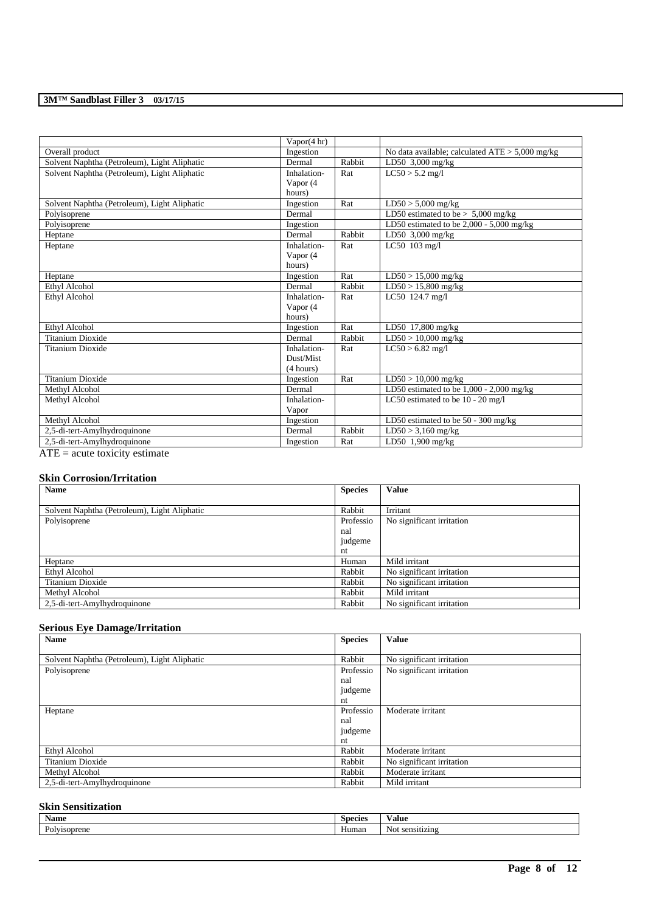|                                              | Vapor(4 hr) |        |                                                 |
|----------------------------------------------|-------------|--------|-------------------------------------------------|
| Overall product                              | Ingestion   |        | No data available; calculated ATE > 5,000 mg/kg |
| Solvent Naphtha (Petroleum), Light Aliphatic | Dermal      | Rabbit | LD50 $3,000$ mg/kg                              |
| Solvent Naphtha (Petroleum), Light Aliphatic | Inhalation- | Rat    | $LC50 > 5.2$ mg/l                               |
|                                              | Vapor (4    |        |                                                 |
|                                              | hours)      |        |                                                 |
| Solvent Naphtha (Petroleum), Light Aliphatic | Ingestion   | Rat    | $LD50 > 5,000$ mg/kg                            |
| Polyisoprene                                 | Dermal      |        | LD50 estimated to be $> 5,000$ mg/kg            |
| Polyisoprene                                 | Ingestion   |        | LD50 estimated to be 2,000 - 5,000 mg/kg        |
| Heptane                                      | Dermal      | Rabbit | LD50 3,000 mg/kg                                |
| Heptane                                      | Inhalation- | Rat    | LC50 103 mg/l                                   |
|                                              | Vapor (4    |        |                                                 |
|                                              | hours)      |        |                                                 |
| Heptane                                      | Ingestion   | Rat    | $LD50 > 15,000$ mg/kg                           |
| Ethyl Alcohol                                | Dermal      | Rabbit | $LD50 > 15,800$ mg/kg                           |
| Ethyl Alcohol                                | Inhalation- | Rat    | LC50 124.7 mg/l                                 |
|                                              | Vapor (4    |        |                                                 |
|                                              | hours)      |        |                                                 |
| Ethyl Alcohol                                | Ingestion   | Rat    | LD50 17,800 mg/kg                               |
| <b>Titanium Dioxide</b>                      | Dermal      | Rabbit | $LD50 > 10,000$ mg/kg                           |
| <b>Titanium Dioxide</b>                      | Inhalation- | Rat    | $LC50 > 6.82$ mg/l                              |
|                                              | Dust/Mist   |        |                                                 |
|                                              | (4 hours)   |        |                                                 |
| <b>Titanium Dioxide</b>                      | Ingestion   | Rat    | $LD50 > 10,000$ mg/kg                           |
| Methyl Alcohol                               | Dermal      |        | LD50 estimated to be $1,000 - 2,000$ mg/kg      |
| Methyl Alcohol                               | Inhalation- |        | LC50 estimated to be 10 - 20 mg/l               |
|                                              | Vapor       |        |                                                 |
| Methyl Alcohol                               | Ingestion   |        | LD50 estimated to be $50 - 300$ mg/kg           |
| 2,5-di-tert-Amylhydroquinone                 | Dermal      | Rabbit | $LD50 > 3,160$ mg/kg                            |
| 2,5-di-tert-Amylhydroquinone                 | Ingestion   | Rat    | LD50 $1,900$ mg/kg                              |
| $ATE = acute$ toxicity estimate              |             |        |                                                 |

### **Skin Corrosion/Irritation**

| <b>Name</b>                                  | <b>Species</b> | <b>Value</b>              |
|----------------------------------------------|----------------|---------------------------|
|                                              |                |                           |
| Solvent Naphtha (Petroleum), Light Aliphatic | Rabbit         | Irritant                  |
| Polyisoprene                                 | Professio      | No significant irritation |
|                                              | nal            |                           |
|                                              | judgeme        |                           |
|                                              | nt             |                           |
| Heptane                                      | Human          | Mild irritant             |
| Ethyl Alcohol                                | Rabbit         | No significant irritation |
| Titanium Dioxide                             | Rabbit         | No significant irritation |
| Methyl Alcohol                               | Rabbit         | Mild irritant             |
| 2,5-di-tert-Amylhydroquinone                 | Rabbit         | No significant irritation |

# **Serious Eye Damage/Irritation**

| <b>Name</b>                                  | <b>Species</b> | <b>Value</b>              |
|----------------------------------------------|----------------|---------------------------|
|                                              |                |                           |
| Solvent Naphtha (Petroleum), Light Aliphatic | Rabbit         | No significant irritation |
| Polyisoprene                                 | Professio      | No significant irritation |
|                                              | nal            |                           |
|                                              | judgeme        |                           |
|                                              | nt             |                           |
| Heptane                                      | Professio      | Moderate irritant         |
|                                              | nal            |                           |
|                                              | judgeme        |                           |
|                                              | nt             |                           |
| Ethyl Alcohol                                | Rabbit         | Moderate irritant         |
| Titanium Dioxide                             | Rabbit         | No significant irritation |
| Methyl Alcohol                               | Rabbit         | Moderate irritant         |
| 2,5-di-tert-Amylhydroquinone                 | Rabbit         | Mild irritant             |

# **Skin Sensitization**

| Name                                   | Species | 'alue              |
|----------------------------------------|---------|--------------------|
| $\sim$<br><i>lyisoprene</i><br>⊷<br>vı | Human   | sensitizing<br>Not |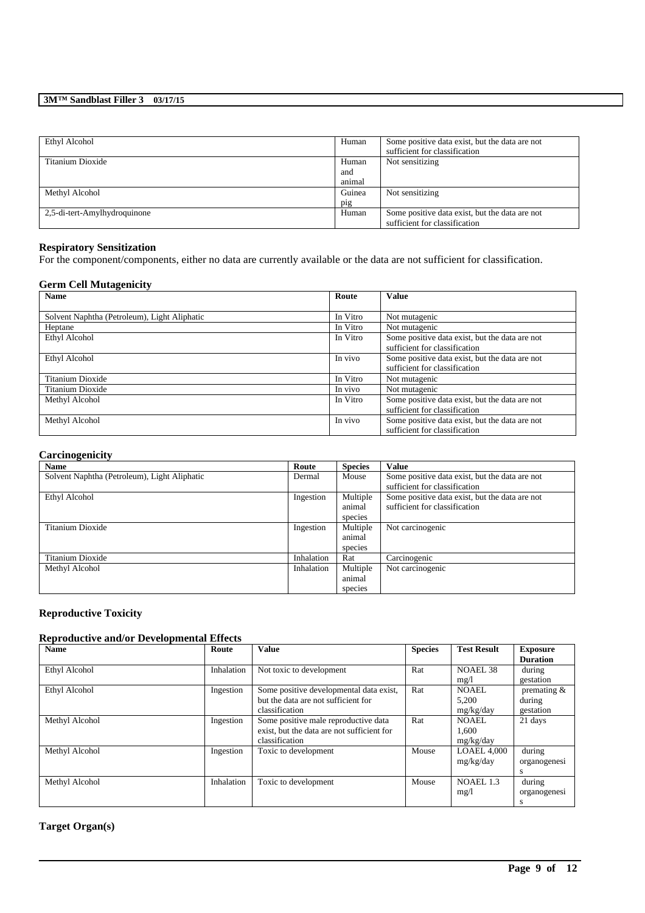| Ethyl Alcohol                | Human  | Some positive data exist, but the data are not<br>sufficient for classification |
|------------------------------|--------|---------------------------------------------------------------------------------|
| Titanium Dioxide             | Human  | Not sensitizing                                                                 |
|                              | and    |                                                                                 |
|                              | animal |                                                                                 |
| Methyl Alcohol               | Guinea | Not sensitizing                                                                 |
|                              | pig    |                                                                                 |
| 2,5-di-tert-Amylhydroquinone | Human  | Some positive data exist, but the data are not                                  |
|                              |        | sufficient for classification                                                   |

## **Respiratory Sensitization**

For the component/components, either no data are currently available or the data are not sufficient for classification.

## **Germ Cell Mutagenicity**

| <b>Name</b>                                  | Route    | <b>Value</b>                                   |
|----------------------------------------------|----------|------------------------------------------------|
|                                              |          |                                                |
| Solvent Naphtha (Petroleum), Light Aliphatic | In Vitro | Not mutagenic                                  |
| Heptane                                      | In Vitro | Not mutagenic                                  |
| Ethyl Alcohol                                | In Vitro | Some positive data exist, but the data are not |
|                                              |          | sufficient for classification                  |
| Ethyl Alcohol                                | In vivo  | Some positive data exist, but the data are not |
|                                              |          | sufficient for classification                  |
| Titanium Dioxide                             | In Vitro | Not mutagenic                                  |
| Titanium Dioxide                             | In vivo  | Not mutagenic                                  |
| Methyl Alcohol                               | In Vitro | Some positive data exist, but the data are not |
|                                              |          | sufficient for classification                  |
| Methyl Alcohol                               | In vivo  | Some positive data exist, but the data are not |
|                                              |          | sufficient for classification                  |

### **Carcinogenicity**

| <b>Name</b>                                  | Route      | <b>Species</b> | Value                                          |
|----------------------------------------------|------------|----------------|------------------------------------------------|
| Solvent Naphtha (Petroleum), Light Aliphatic | Dermal     | Mouse          | Some positive data exist, but the data are not |
|                                              |            |                | sufficient for classification                  |
| Ethyl Alcohol                                | Ingestion  | Multiple       | Some positive data exist, but the data are not |
|                                              |            | animal         | sufficient for classification                  |
|                                              |            | species        |                                                |
| Titanium Dioxide                             | Ingestion  | Multiple       | Not carcinogenic                               |
|                                              |            | animal         |                                                |
|                                              |            | species        |                                                |
| Titanium Dioxide                             | Inhalation | Rat            | Carcinogenic                                   |
| Methyl Alcohol                               | Inhalation | Multiple       | Not carcinogenic                               |
|                                              |            | animal         |                                                |
|                                              |            | species        |                                                |

# **Reproductive Toxicity**

# **Reproductive and/or Developmental Effects**

| <b>Name</b>          | Route      | <b>Value</b>                               | <b>Species</b> | <b>Test Result</b> | <b>Exposure</b> |
|----------------------|------------|--------------------------------------------|----------------|--------------------|-----------------|
|                      |            |                                            |                |                    | <b>Duration</b> |
| Ethyl Alcohol        | Inhalation | Not toxic to development                   | Rat            | NOAEL 38           | during          |
|                      |            |                                            |                | mg/l               | gestation       |
| <b>Ethyl Alcohol</b> | Ingestion  | Some positive developmental data exist,    | Rat            | <b>NOAEL</b>       | premating $&$   |
|                      |            | but the data are not sufficient for        |                | 5,200              | during          |
|                      |            | classification                             |                | mg/kg/day          | gestation       |
| Methyl Alcohol       | Ingestion  | Some positive male reproductive data       | Rat            | <b>NOAEL</b>       | 21 days         |
|                      |            | exist, but the data are not sufficient for |                | 1.600              |                 |
|                      |            | classification                             |                | mg/kg/day          |                 |
| Methyl Alcohol       | Ingestion  | Toxic to development                       | Mouse          | <b>LOAEL 4,000</b> | during          |
|                      |            |                                            |                | mg/kg/day          | organogenesi    |
|                      |            |                                            |                |                    | s               |
| Methyl Alcohol       | Inhalation | Toxic to development                       | Mouse          | NOAEL 1.3          | during          |
|                      |            |                                            |                | mg/1               | organogenesi    |
|                      |            |                                            |                |                    | s               |

\_\_\_\_\_\_\_\_\_\_\_\_\_\_\_\_\_\_\_\_\_\_\_\_\_\_\_\_\_\_\_\_\_\_\_\_\_\_\_\_\_\_\_\_\_\_\_\_\_\_\_\_\_\_\_\_\_\_\_\_\_\_\_\_\_\_\_\_\_\_\_\_\_\_\_\_\_\_\_\_\_\_\_\_\_\_\_\_\_\_

# **Target Organ(s)**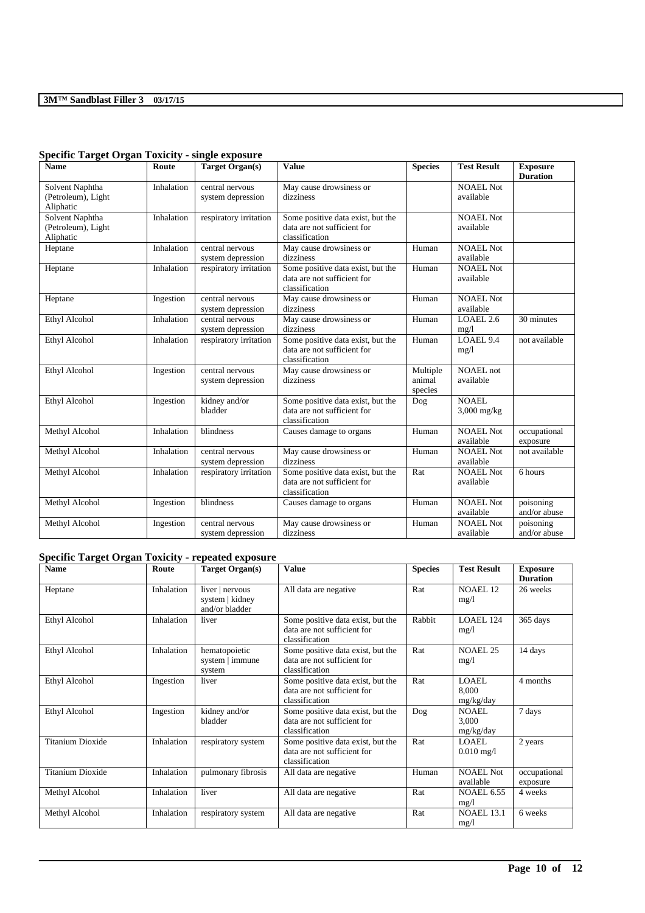| <b>Name</b>                                        | Route      | <b>Target Organ(s)</b>               | <b>Value</b>                                                                       | <b>Species</b>                | <b>Test Result</b>            | <b>Exposure</b>           |
|----------------------------------------------------|------------|--------------------------------------|------------------------------------------------------------------------------------|-------------------------------|-------------------------------|---------------------------|
| Solvent Naphtha<br>(Petroleum), Light<br>Aliphatic | Inhalation | central nervous<br>system depression | May cause drowsiness or<br>dizziness                                               |                               | <b>NOAEL Not</b><br>available | <b>Duration</b>           |
| Solvent Naphtha<br>(Petroleum), Light<br>Aliphatic | Inhalation | respiratory irritation               | Some positive data exist, but the<br>data are not sufficient for<br>classification |                               | <b>NOAEL Not</b><br>available |                           |
| Heptane                                            | Inhalation | central nervous<br>system depression | May cause drowsiness or<br>dizziness                                               | Human                         | NOAEL Not<br>available        |                           |
| Heptane                                            | Inhalation | respiratory irritation               | Some positive data exist, but the<br>data are not sufficient for<br>classification | Human                         | NOAEL Not<br>available        |                           |
| Heptane                                            | Ingestion  | central nervous<br>system depression | May cause drowsiness or<br>dizziness                                               | Human                         | <b>NOAEL Not</b><br>available |                           |
| Ethyl Alcohol                                      | Inhalation | central nervous<br>system depression | May cause drowsiness or<br>dizziness                                               | Human                         | LOAEL 2.6<br>mg/1             | 30 minutes                |
| <b>Ethyl Alcohol</b>                               | Inhalation | respiratory irritation               | Some positive data exist, but the<br>data are not sufficient for<br>classification | Human                         | LOAEL 9.4<br>mg/1             | not available             |
| Ethyl Alcohol                                      | Ingestion  | central nervous<br>system depression | May cause drowsiness or<br>dizziness                                               | Multiple<br>animal<br>species | <b>NOAEL</b> not<br>available |                           |
| Ethyl Alcohol                                      | Ingestion  | kidney and/or<br>bladder             | Some positive data exist, but the<br>data are not sufficient for<br>classification | Dog                           | NOAEL.<br>$3,000$ mg/kg       |                           |
| Methyl Alcohol                                     | Inhalation | blindness                            | Causes damage to organs                                                            | Human                         | <b>NOAEL Not</b><br>available | occupational<br>exposure  |
| Methyl Alcohol                                     | Inhalation | central nervous<br>system depression | May cause drowsiness or<br>dizziness                                               | Human                         | <b>NOAEL Not</b><br>available | not available             |
| Methyl Alcohol                                     | Inhalation | respiratory irritation               | Some positive data exist, but the<br>data are not sufficient for<br>classification | Rat                           | NOAEL Not<br>available        | 6 hours                   |
| Methyl Alcohol                                     | Ingestion  | blindness                            | Causes damage to organs                                                            | Human                         | <b>NOAEL Not</b><br>available | poisoning<br>and/or abuse |
| Methyl Alcohol                                     | Ingestion  | central nervous<br>system depression | May cause drowsiness or<br>dizziness                                               | Human                         | NOAEL Not<br>available        | poisoning<br>and/or abuse |

# **Specific Target Organ Toxicity - single exposure**

# **Specific Target Organ Toxicity - repeated exposure**

| <b>Name</b>             | Route      | <b>Target Organ(s)</b>                               | Value                                                                              | <b>Species</b> | <b>Test Result</b>                   | <b>Exposure</b><br><b>Duration</b> |
|-------------------------|------------|------------------------------------------------------|------------------------------------------------------------------------------------|----------------|--------------------------------------|------------------------------------|
| Heptane                 | Inhalation | liver   nervous<br>system   kidney<br>and/or bladder | All data are negative                                                              | Rat            | <b>NOAEL 12</b><br>mg/1              | 26 weeks                           |
| <b>Ethyl Alcohol</b>    | Inhalation | liver                                                | Some positive data exist, but the<br>data are not sufficient for<br>classification | Rabbit         | LOAEL 124<br>mg/1                    | 365 days                           |
| <b>Ethyl Alcohol</b>    | Inhalation | hematopoietic<br>system   immune<br>system           | Some positive data exist, but the<br>data are not sufficient for<br>classification | Rat            | <b>NOAEL 25</b><br>mg/1              | 14 days                            |
| <b>Ethyl Alcohol</b>    | Ingestion  | liver                                                | Some positive data exist, but the<br>data are not sufficient for<br>classification | Rat            | <b>LOAEL</b><br>8.000<br>mg/kg/day   | 4 months                           |
| Ethyl Alcohol           | Ingestion  | kidney and/or<br>bladder                             | Some positive data exist, but the<br>data are not sufficient for<br>classification | Dog            | <b>NOAEL</b><br>3,000<br>mg/kg/day   | 7 days                             |
| <b>Titanium Dioxide</b> | Inhalation | respiratory system                                   | Some positive data exist, but the<br>data are not sufficient for<br>classification | Rat            | <b>LOAEL</b><br>$0.010 \text{ mg}/1$ | 2 years                            |
| <b>Titanium Dioxide</b> | Inhalation | pulmonary fibrosis                                   | All data are negative                                                              | Human          | <b>NOAEL Not</b><br>available        | occupational<br>exposure           |
| Methyl Alcohol          | Inhalation | liver                                                | All data are negative                                                              | Rat            | <b>NOAEL 6.55</b><br>mg/1            | 4 weeks                            |
| Methyl Alcohol          | Inhalation | respiratory system                                   | All data are negative                                                              | Rat            | <b>NOAEL 13.1</b><br>mg/1            | 6 weeks                            |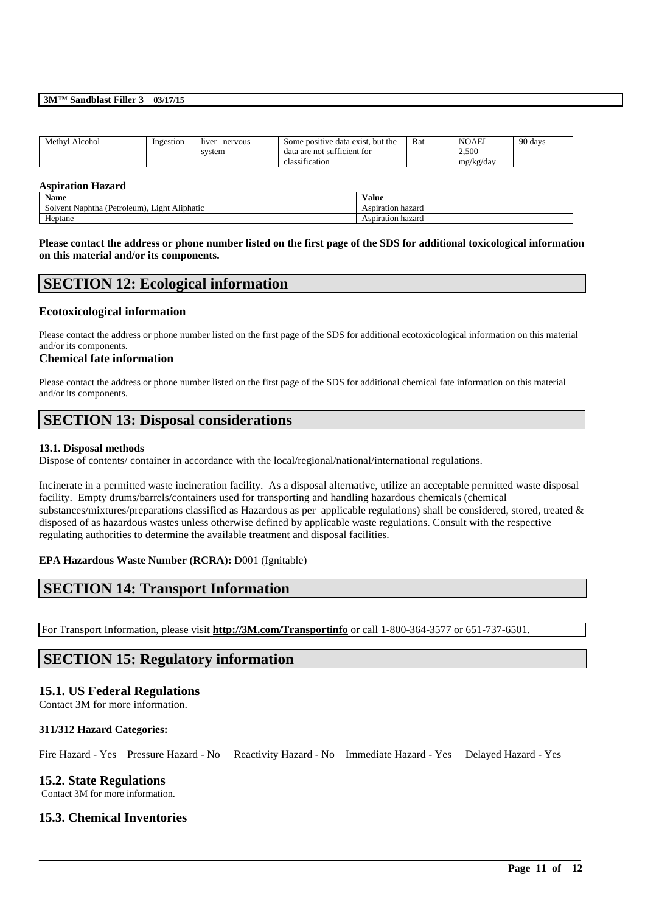| Methyl Alcohol | Ingestion | liver<br>nervous | . but the<br>Some positive data exist. | Rat | <b>NOAEL</b> | 90 days |
|----------------|-----------|------------------|----------------------------------------|-----|--------------|---------|
|                |           | system           | data are not sufficient for            |     | 2.500        |         |
|                |           |                  | . .<br>classification                  |     | mg/kg/day    |         |

#### **Aspiration Hazard**

| $\mathbf{v}$<br>Name                                                  | $-1$<br>/alue     |
|-----------------------------------------------------------------------|-------------------|
| $\cdots$<br>. Light Aliphatic<br>(Petroleum)<br>Naphtha (F<br>Solvent | Aspiration hazard |
| $\sim$ $\sim$<br>Heptane                                              | Aspiration hazard |

**Please contact the address or phone number listed on the first page of the SDS for additional toxicological information on this material and/or its components.**

# **SECTION 12: Ecological information**

### **Ecotoxicological information**

Please contact the address or phone number listed on the first page of the SDS for additional ecotoxicological information on this material and/or its components.

#### **Chemical fate information**

Please contact the address or phone number listed on the first page of the SDS for additional chemical fate information on this material and/or its components.

# **SECTION 13: Disposal considerations**

### **13.1. Disposal methods**

Dispose of contents/ container in accordance with the local/regional/national/international regulations.

Incinerate in a permitted waste incineration facility. As a disposal alternative, utilize an acceptable permitted waste disposal facility. Empty drums/barrels/containers used for transporting and handling hazardous chemicals (chemical substances/mixtures/preparations classified as Hazardous as per applicable regulations) shall be considered, stored, treated & disposed of as hazardous wastes unless otherwise defined by applicable waste regulations. Consult with the respective regulating authorities to determine the available treatment and disposal facilities.

### **EPA Hazardous Waste Number (RCRA):** D001 (Ignitable)

# **SECTION 14: Transport Information**

For Transport Information, please visit **http://3M.com/Transportinfo** or call 1-800-364-3577 or 651-737-6501.

# **SECTION 15: Regulatory information**

### **15.1. US Federal Regulations**

Contact 3M for more information.

### **311/312 Hazard Categories:**

Fire Hazard - Yes Pressure Hazard - No Reactivity Hazard - No Immediate Hazard - Yes Delayed Hazard - Yes

\_\_\_\_\_\_\_\_\_\_\_\_\_\_\_\_\_\_\_\_\_\_\_\_\_\_\_\_\_\_\_\_\_\_\_\_\_\_\_\_\_\_\_\_\_\_\_\_\_\_\_\_\_\_\_\_\_\_\_\_\_\_\_\_\_\_\_\_\_\_\_\_\_\_\_\_\_\_\_\_\_\_\_\_\_\_\_\_\_\_

# **15.2. State Regulations**

Contact 3M for more information.

## **15.3. Chemical Inventories**